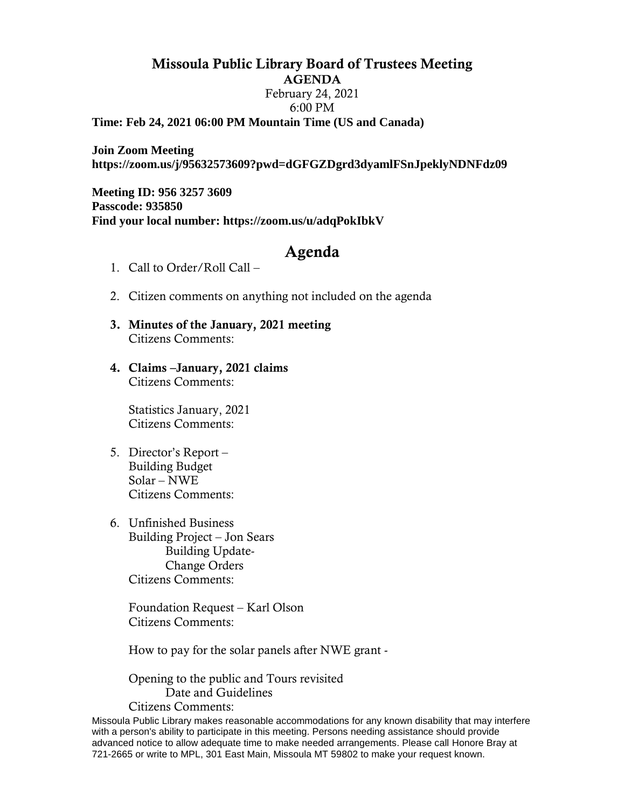## Missoula Public Library Board of Trustees Meeting AGENDA February 24, 2021 6:00 PM **Time: Feb 24, 2021 06:00 PM Mountain Time (US and Canada)**

**Join Zoom Meeting https://zoom.us/j/95632573609?pwd=dGFGZDgrd3dyamlFSnJpeklyNDNFdz09**

**Meeting ID: 956 3257 3609 Passcode: 935850 Find your local number: https://zoom.us/u/adqPokIbkV**

## Agenda

- 1. Call to Order/Roll Call –
- 2. Citizen comments on anything not included on the agenda
- 3. Minutes of the January, 2021 meeting Citizens Comments:
- 4. Claims –January, 2021 claims Citizens Comments:

Statistics January, 2021 Citizens Comments:

- 5. Director's Report Building Budget Solar – NWE Citizens Comments:
- 6. Unfinished Business Building Project – Jon Sears Building Update-Change Orders Citizens Comments:

Foundation Request – Karl Olson Citizens Comments:

How to pay for the solar panels after NWE grant -

Opening to the public and Tours revisited Date and Guidelines Citizens Comments:

Missoula Public Library makes reasonable accommodations for any known disability that may interfere with a person's ability to participate in this meeting. Persons needing assistance should provide advanced notice to allow adequate time to make needed arrangements. Please call Honore Bray at 721-2665 or write to MPL, 301 East Main, Missoula MT 59802 to make your request known.